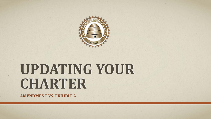

# **UPDATING YOUR CHARTER**

**AMENDMENT VS. EXHIBIT A**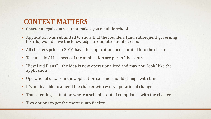### **CONTEXT MATTERS**

- Charter = legal contract that makes you a public school
- Application was submitted to show that the founders (and subsequent governing boards) would have the knowledge to operate a public school
- All charters prior to 2016 have the application incorporated into the charter
- Technically ALL aspects of the application are part of the contract
- "Best Laid Plans" the idea is now operationalized and may not "look" like the application
- Operational details in the application can and should change with time
- It's not feasible to amend the charter with every operational change
- Thus creating a situation where a school is out of compliance with the charter
- Two options to get the charter into fidelity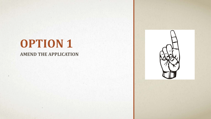## **OPTION 1**

#### **AMEND THE APPLICATION**

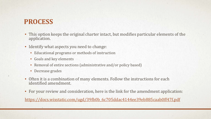### **PROCESS**

- This option keeps the original charter intact, but modifies particular elements of the application.
- Identify what aspects you need to change:
	- Educational programs or methods of instruction
	- Goals and key elements
	- Removal of entire sections (administrative and/or policy based)
	- Decrease grades
- Often it is a combination of many elements. Follow the instructions for each identified amendment.
- For your review and consideration, here is the link for the amendment application:

[https://docs.wixstatic.com/ugd/39fb0b\\_6c705ddac4144ee39eb885caab0ff47f.pdf](https://docs.wixstatic.com/ugd/39fb0b_6c705ddac4144ee39eb885caab0ff47f.pdf)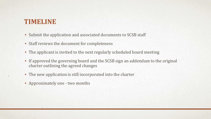### **TIMELINE**

- Submit the application and associated documents to SCSB staff
- Staff reviews the document for completeness
- The applicant is invited to the next regularly scheduled board meeting
- If approved the governing board and the SCSB sign an addendum to the original charter outlining the agreed changes
- The new application is still incorporated into the charter
- Approximately one two months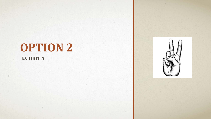## **OPTION 2**

#### **EXHIBIT A**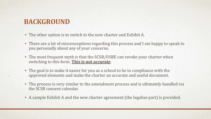### **BACKGROUND**

- The other option is to switch to the new charter and Exhibit A.
- There are a lot of misconceptions regarding this process and I am happy to speak to you personally about any of your concerns.
- The most frequent myth is that the SCSB/USBE can revoke your charter when switching to this form. **This is not accurate**.
- The goal is to make it easier for you as a school to be in compliance with the approved elements and make the charter an accurate and useful document.
- The process is very similar to the amendment process and is ultimately handled via the SCSB consent calendar.
- A sample Exhibit A and the new charter agreement (the legalize part) is provided.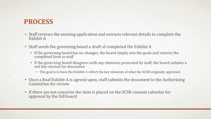### **PROCESS**

- Staff reviews the existing application and extracts relevant details to complete the Exhibit A
- Staff sends the governing board a draft of completed the Exhibit A
	- If the governing board has no changes, the board simply sets the goals and returns the completed form to staff
	- If the governing board disagrees with any elements presented by staff, the board submits a red line version for discussion
		- The goal is to have the Exhibit A reflect the key elements of what the SCSB originally approved
- Once a final Exhibit A is agreed upon, staff submits the document to the Authorizing Committee for review
- If there are not concerns the item is placed on the SCSB consent calendar for approval by the full board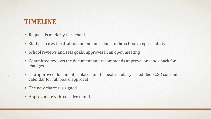### **TIMELINE**

- Request is made by the school
- Staff prepares the draft document and sends to the school's representative
- School reviews and sets goals; approves in an open meeting
- Committee reviews the document and recommends approval or sends back for changes
- The approved document is placed on the next regularly scheduled SCSB consent calendar for full board approval
- The new charter is signed
- Approximately three five months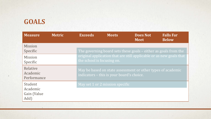## **GOALS**

na.

| <b>Measure</b>                             | <b>Metric</b> | <b>Exceeds</b>                                                                                           | <b>Meets</b>                    | <b>Does Not</b><br><b>Meet</b>                                  | <b>Falls Far</b><br><b>Below</b> |
|--------------------------------------------|---------------|----------------------------------------------------------------------------------------------------------|---------------------------------|-----------------------------------------------------------------|----------------------------------|
| Mission<br>Specific                        |               |                                                                                                          |                                 | The governing board sets these goals - either as goals from the |                                  |
| <b>Mission</b><br>Specific                 |               | original application that are still applicable or as new goals that<br>the school is focusing on.        |                                 |                                                                 |                                  |
| Relative<br>Academic<br>Performance        |               | May be based on state assessment or other types of academic<br>indicators – this is your board's choice. |                                 |                                                                 |                                  |
| Student<br>Academic<br>Gain (Value<br>Add) |               |                                                                                                          | May set 1 or 2 mission specific |                                                                 |                                  |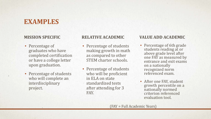#### **EXAMPLES**

#### **MISSION SPECIFIC**

- Percentage of graduates who have completed certification or have a college letter upon graduation.
- Percentage of students who will complete an interdisciplinary project.

- Percentage of students making growth in math as compared to other STEM charter schools.
- Percentage of students who will be proficient in ELA on state standardized tests after attending for 3 FAY.

#### **RELATIVE ACADEMIC VALUE ADD ACADEMIC**

- Percentage of 6th grade students reading at or above grade level after one FAY as measured by entrance and exit exams on a nationally recognized norm referenced exam.
- After one FAY, student growth percentile on a nationally normed criterion referenced evaluation tool.

(FAY = Full Academic Years)